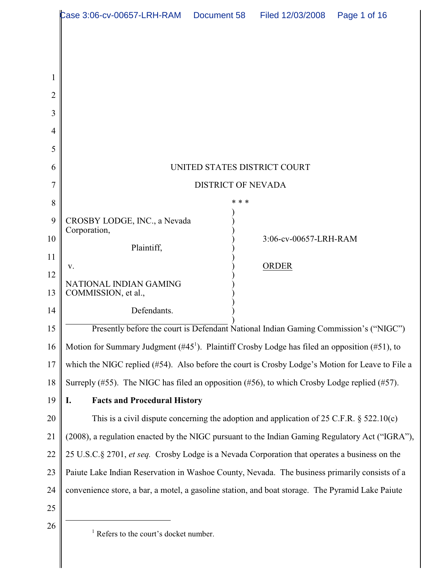| Case 3:06-cv-00657-LRH-RAM   Document 58   Filed 12/03/2008<br>Page 1 of 16                                                                                                                       |
|---------------------------------------------------------------------------------------------------------------------------------------------------------------------------------------------------|
|                                                                                                                                                                                                   |
|                                                                                                                                                                                                   |
|                                                                                                                                                                                                   |
|                                                                                                                                                                                                   |
|                                                                                                                                                                                                   |
|                                                                                                                                                                                                   |
|                                                                                                                                                                                                   |
| UNITED STATES DISTRICT COURT                                                                                                                                                                      |
| <b>DISTRICT OF NEVADA</b>                                                                                                                                                                         |
| * * *                                                                                                                                                                                             |
| CROSBY LODGE, INC., a Nevada<br>Corporation,                                                                                                                                                      |
| 3:06-cv-00657-LRH-RAM<br>Plaintiff,                                                                                                                                                               |
| <b>ORDER</b><br>v.                                                                                                                                                                                |
| NATIONAL INDIAN GAMING                                                                                                                                                                            |
| COMMISSION, et al.,                                                                                                                                                                               |
| Defendants.                                                                                                                                                                                       |
| Presently before the court is Defendant National Indian Gaming Commission's ("NIGC")<br>Motion for Summary Judgment (#45 <sup>1</sup> ). Plaintiff Crosby Lodge has filed an opposition (#51), to |
| which the NIGC replied (#54). Also before the court is Crosby Lodge's Motion for Leave to File a                                                                                                  |
| Surreply (#55). The NIGC has filed an opposition (#56), to which Crosby Lodge replied (#57).                                                                                                      |
| <b>Facts and Procedural History</b><br>I.                                                                                                                                                         |
| This is a civil dispute concerning the adoption and application of 25 C.F.R. $\S$ 522.10(c)                                                                                                       |
| (2008), a regulation enacted by the NIGC pursuant to the Indian Gaming Regulatory Act ("IGRA"),                                                                                                   |
| 25 U.S.C.§ 2701, et seq. Crosby Lodge is a Nevada Corporation that operates a business on the                                                                                                     |
| Paiute Lake Indian Reservation in Washoe County, Nevada. The business primarily consists of a                                                                                                     |
| convenience store, a bar, a motel, a gasoline station, and boat storage. The Pyramid Lake Paiute                                                                                                  |
|                                                                                                                                                                                                   |
| $1$ Refers to the court's docket number.                                                                                                                                                          |
|                                                                                                                                                                                                   |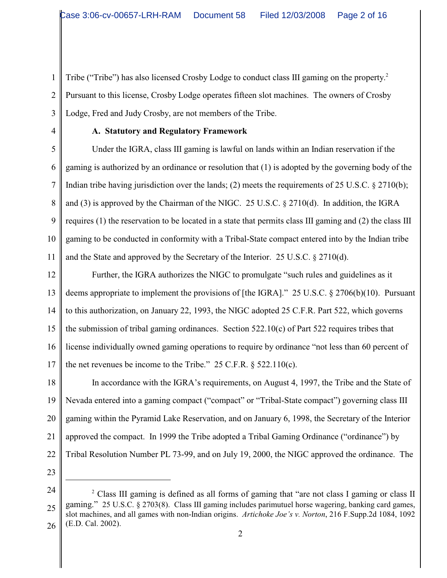1 2 3 Tribe ("Tribe") has also licensed Crosby Lodge to conduct class III gaming on the property.<sup>2</sup> Pursuant to this license, Crosby Lodge operates fifteen slot machines. The owners of Crosby Lodge, Fred and Judy Crosby, are not members of the Tribe.

4

# **A. Statutory and Regulatory Framework**

5 6 7 8 9 10 11 Under the IGRA, class III gaming is lawful on lands within an Indian reservation if the gaming is authorized by an ordinance or resolution that (1) is adopted by the governing body of the Indian tribe having jurisdiction over the lands; (2) meets the requirements of 25 U.S.C. § 2710(b); and (3) is approved by the Chairman of the NIGC. 25 U.S.C. § 2710(d). In addition, the IGRA requires (1) the reservation to be located in a state that permits class III gaming and (2) the class III gaming to be conducted in conformity with a Tribal-State compact entered into by the Indian tribe and the State and approved by the Secretary of the Interior. 25 U.S.C. § 2710(d).

12 13 14 15 16 17 Further, the IGRA authorizes the NIGC to promulgate "such rules and guidelines as it deems appropriate to implement the provisions of [the IGRA]." 25 U.S.C. § 2706(b)(10). Pursuant to this authorization, on January 22, 1993, the NIGC adopted 25 C.F.R. Part 522, which governs the submission of tribal gaming ordinances. Section 522.10(c) of Part 522 requires tribes that license individually owned gaming operations to require by ordinance "not less than 60 percent of the net revenues be income to the Tribe."  $25$  C.F.R.  $\S$  522.110(c).

18 19 20 21 22 In accordance with the IGRA's requirements, on August 4, 1997, the Tribe and the State of Nevada entered into a gaming compact ("compact" or "Tribal-State compact") governing class III gaming within the Pyramid Lake Reservation, and on January 6, 1998, the Secretary of the Interior approved the compact. In 1999 the Tribe adopted a Tribal Gaming Ordinance ("ordinance") by Tribal Resolution Number PL 73-99, and on July 19, 2000, the NIGC approved the ordinance. The

<sup>24</sup> 25 26  $\degree$  Class III gaming is defined as all forms of gaming that "are not class I gaming or class II gaming." 25 U.S.C. § 2703(8). Class III gaming includes parimutuel horse wagering, banking card games, slot machines, and all games with non-Indian origins. *Artichoke Joe's v. Norton*, 216 F.Supp.2d 1084, 1092 (E.D. Cal. 2002).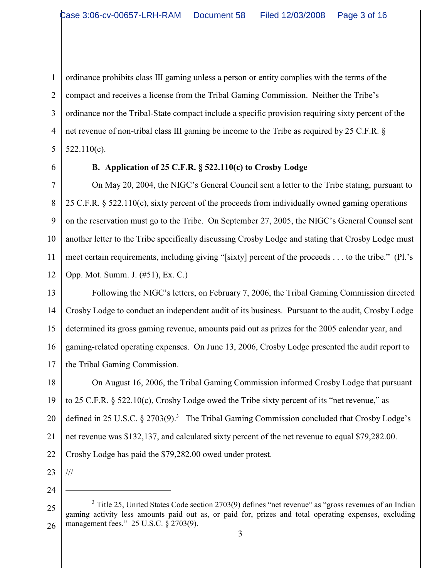1 2 3 4 5 ordinance prohibits class III gaming unless a person or entity complies with the terms of the compact and receives a license from the Tribal Gaming Commission. Neither the Tribe's ordinance nor the Tribal-State compact include a specific provision requiring sixty percent of the net revenue of non-tribal class III gaming be income to the Tribe as required by 25 C.F.R. § 522.110(c).

6

# **B. Application of 25 C.F.R. § 522.110(c) to Crosby Lodge**

7 8 9 10 11 12 On May 20, 2004, the NIGC's General Council sent a letter to the Tribe stating, pursuant to 25 C.F.R. § 522.110(c), sixty percent of the proceeds from individually owned gaming operations on the reservation must go to the Tribe. On September 27, 2005, the NIGC's General Counsel sent another letter to the Tribe specifically discussing Crosby Lodge and stating that Crosby Lodge must meet certain requirements, including giving "[sixty] percent of the proceeds . . . to the tribe." (Pl.'s Opp. Mot. Summ. J. (#51), Ex. C.)

13 14 15 16 17 Following the NIGC's letters, on February 7, 2006, the Tribal Gaming Commission directed Crosby Lodge to conduct an independent audit of its business. Pursuant to the audit, Crosby Lodge determined its gross gaming revenue, amounts paid out as prizes for the 2005 calendar year, and gaming-related operating expenses. On June 13, 2006, Crosby Lodge presented the audit report to the Tribal Gaming Commission.

18 19 20 21 22 On August 16, 2006, the Tribal Gaming Commission informed Crosby Lodge that pursuant to 25 C.F.R. § 522.10(c), Crosby Lodge owed the Tribe sixty percent of its "net revenue," as defined in 25 U.S.C.  $\S$  2703(9).<sup>3</sup> The Tribal Gaming Commission concluded that Crosby Lodge's net revenue was \$132,137, and calculated sixty percent of the net revenue to equal \$79,282.00. Crosby Lodge has paid the \$79,282.00 owed under protest.

23

///

24

25 26 <sup>3</sup> Title 25, United States Code section 2703(9) defines "net revenue" as "gross revenues of an Indian gaming activity less amounts paid out as, or paid for, prizes and total operating expenses, excluding management fees." 25 U.S.C. § 2703(9).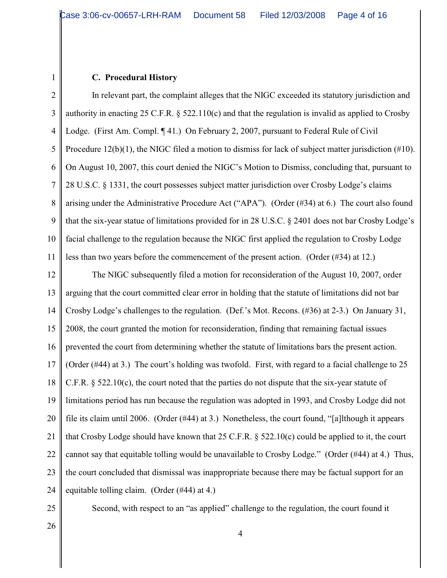#### **C. Procedural History**

1

2 3 4 5 6 7 8 9 10 11 In relevant part, the complaint alleges that the NIGC exceeded its statutory jurisdiction and authority in enacting 25 C.F.R.  $\S$  522.110(c) and that the regulation is invalid as applied to Crosby Lodge. (First Am. Compl. ¶41.) On February 2, 2007, pursuant to Federal Rule of Civil Procedure 12(b)(1), the NIGC filed a motion to dismiss for lack of subject matter jurisdiction (#10). On August 10, 2007, this court denied the NIGC's Motion to Dismiss, concluding that, pursuant to 28 U.S.C. § 1331, the court possesses subject matter jurisdiction over Crosby Lodge's claims arising under the Administrative Procedure Act ("APA"). (Order (#34) at 6.) The court also found that the six-year statue of limitations provided for in 28 U.S.C. § 2401 does not bar Crosby Lodge's facial challenge to the regulation because the NIGC first applied the regulation to Crosby Lodge less than two years before the commencement of the present action. (Order (#34) at 12.)

12 13 14 15 16 17 18 19 20 21 22 23 24 The NIGC subsequently filed a motion for reconsideration of the August 10, 2007, order arguing that the court committed clear error in holding that the statute of limitations did not bar Crosby Lodge's challenges to the regulation. (Def.'s Mot. Recons. (#36) at 2-3.) On January 31, 2008, the court granted the motion for reconsideration, finding that remaining factual issues prevented the court from determining whether the statute of limitations bars the present action. (Order (#44) at 3.) The court's holding was twofold. First, with regard to a facial challenge to 25 C.F.R. § 522.10(c), the court noted that the parties do not dispute that the six-year statute of limitations period has run because the regulation was adopted in 1993, and Crosby Lodge did not file its claim until 2006. (Order (#44) at 3.) Nonetheless, the court found, "[a]lthough it appears that Crosby Lodge should have known that 25 C.F.R. § 522.10(c) could be applied to it, the court cannot say that equitable tolling would be unavailable to Crosby Lodge." (Order (#44) at 4.) Thus, the court concluded that dismissal was inappropriate because there may be factual support for an equitable tolling claim. (Order (#44) at 4.)

25

Second, with respect to an "as applied" challenge to the regulation, the court found it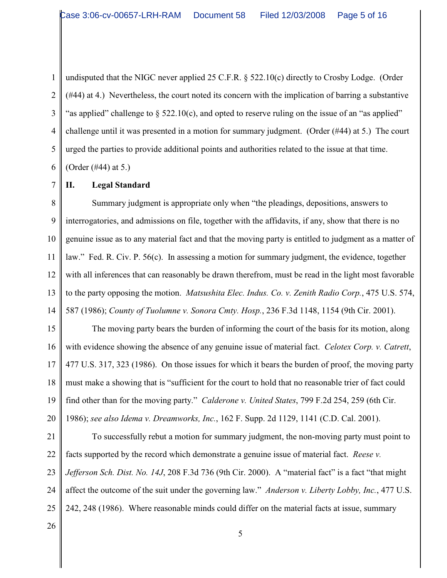1 2 3 4 5 6 undisputed that the NIGC never applied 25 C.F.R. § 522.10(c) directly to Crosby Lodge. (Order (#44) at 4.) Nevertheless, the court noted its concern with the implication of barring a substantive "as applied" challenge to  $\S$  522.10(c), and opted to reserve ruling on the issue of an "as applied" challenge until it was presented in a motion for summary judgment. (Order (#44) at 5.) The court urged the parties to provide additional points and authorities related to the issue at that time. (Order (#44) at 5.)

7

# **II. Legal Standard**

8 9 10 11 12 13 14 Summary judgment is appropriate only when "the pleadings, depositions, answers to interrogatories, and admissions on file, together with the affidavits, if any, show that there is no genuine issue as to any material fact and that the moving party is entitled to judgment as a matter of law." Fed. R. Civ. P. 56(c). In assessing a motion for summary judgment, the evidence, together with all inferences that can reasonably be drawn therefrom, must be read in the light most favorable to the party opposing the motion. *Matsushita Elec. Indus. Co. v. Zenith Radio Corp.*, 475 U.S. 574, 587 (1986); *County of Tuolumne v. Sonora Cmty. Hosp.*, 236 F.3d 1148, 1154 (9th Cir. 2001).

15 16 17 18 19 20 The moving party bears the burden of informing the court of the basis for its motion, along with evidence showing the absence of any genuine issue of material fact. *Celotex Corp. v. Catrett*, 477 U.S. 317, 323 (1986). On those issues for which it bears the burden of proof, the moving party must make a showing that is "sufficient for the court to hold that no reasonable trier of fact could find other than for the moving party." *Calderone v. United States*, 799 F.2d 254, 259 (6th Cir. 1986); *see also Idema v. Dreamworks, Inc.*, 162 F. Supp. 2d 1129, 1141 (C.D. Cal. 2001).

21 22 23 24 25 To successfully rebut a motion for summary judgment, the non-moving party must point to facts supported by the record which demonstrate a genuine issue of material fact. *Reese v. Jefferson Sch. Dist. No. 14J*, 208 F.3d 736 (9th Cir. 2000). A "material fact" is a fact "that might affect the outcome of the suit under the governing law." *Anderson v. Liberty Lobby, Inc.*, 477 U.S. 242, 248 (1986). Where reasonable minds could differ on the material facts at issue, summary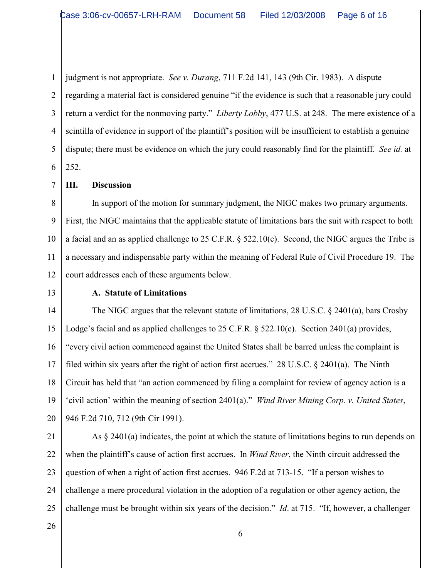1 2 3 4 5 6 judgment is not appropriate. *See v. Durang*, 711 F.2d 141, 143 (9th Cir. 1983). A dispute regarding a material fact is considered genuine "if the evidence is such that a reasonable jury could return a verdict for the nonmoving party." *Liberty Lobby*, 477 U.S. at 248. The mere existence of a scintilla of evidence in support of the plaintiff's position will be insufficient to establish a genuine dispute; there must be evidence on which the jury could reasonably find for the plaintiff. *See id.* at 252.

**III. Discussion**

8 9 10 11 12 In support of the motion for summary judgment, the NIGC makes two primary arguments. First, the NIGC maintains that the applicable statute of limitations bars the suit with respect to both a facial and an as applied challenge to 25 C.F.R. § 522.10(c). Second, the NIGC argues the Tribe is a necessary and indispensable party within the meaning of Federal Rule of Civil Procedure 19. The court addresses each of these arguments below.

13

7

### **A. Statute of Limitations**

14 15 16 17 18 19 20 The NIGC argues that the relevant statute of limitations, 28 U.S.C. § 2401(a), bars Crosby Lodge's facial and as applied challenges to 25 C.F.R. § 522.10(c). Section 2401(a) provides, "every civil action commenced against the United States shall be barred unless the complaint is filed within six years after the right of action first accrues." 28 U.S.C. § 2401(a). The Ninth Circuit has held that "an action commenced by filing a complaint for review of agency action is a 'civil action' within the meaning of section 2401(a)." *Wind River Mining Corp. v. United States*, 946 F.2d 710, 712 (9th Cir 1991).

21

22 23 24 25 As § 2401(a) indicates, the point at which the statute of limitations begins to run depends on when the plaintiff's cause of action first accrues. In *Wind River*, the Ninth circuit addressed the question of when a right of action first accrues. 946 F.2d at 713-15. "If a person wishes to challenge a mere procedural violation in the adoption of a regulation or other agency action, the challenge must be brought within six years of the decision." *Id*. at 715. "If, however, a challenger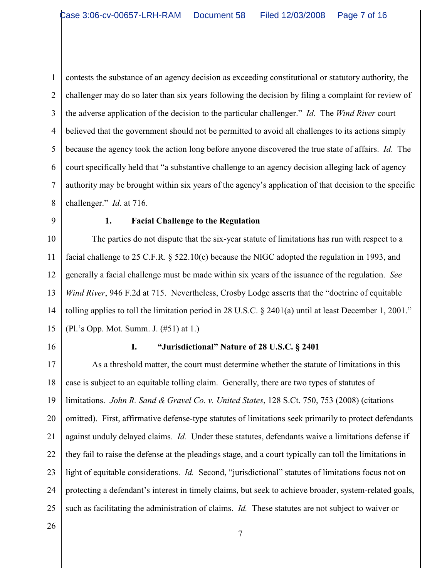1 2 3 4 5 6 7 8 contests the substance of an agency decision as exceeding constitutional or statutory authority, the challenger may do so later than six years following the decision by filing a complaint for review of the adverse application of the decision to the particular challenger." *Id*. The *Wind River* court believed that the government should not be permitted to avoid all challenges to its actions simply because the agency took the action long before anyone discovered the true state of affairs. *Id*. The court specifically held that "a substantive challenge to an agency decision alleging lack of agency authority may be brought within six years of the agency's application of that decision to the specific challenger." *Id*. at 716.

9

#### **1. Facial Challenge to the Regulation**

10 11 12 13 14 15 The parties do not dispute that the six-year statute of limitations has run with respect to a facial challenge to 25 C.F.R. § 522.10(c) because the NIGC adopted the regulation in 1993, and generally a facial challenge must be made within six years of the issuance of the regulation. *See Wind River*, 946 F.2d at 715. Nevertheless, Crosby Lodge asserts that the "doctrine of equitable tolling applies to toll the limitation period in 28 U.S.C. § 2401(a) until at least December 1, 2001." (Pl.'s Opp. Mot. Summ. J. (#51) at 1.)

16

## **I. "Jurisdictional" Nature of 28 U.S.C. § 2401**

17 18 19 20 21 22 23 24 25 As a threshold matter, the court must determine whether the statute of limitations in this case is subject to an equitable tolling claim. Generally, there are two types of statutes of limitations. *John R. Sand & Gravel Co. v. United States*, 128 S.Ct. 750, 753 (2008) (citations omitted). First, affirmative defense-type statutes of limitations seek primarily to protect defendants against unduly delayed claims. *Id.* Under these statutes, defendants waive a limitations defense if they fail to raise the defense at the pleadings stage, and a court typically can toll the limitations in light of equitable considerations. *Id.* Second, "jurisdictional" statutes of limitations focus not on protecting a defendant's interest in timely claims, but seek to achieve broader, system-related goals, such as facilitating the administration of claims. *Id.* These statutes are not subject to waiver or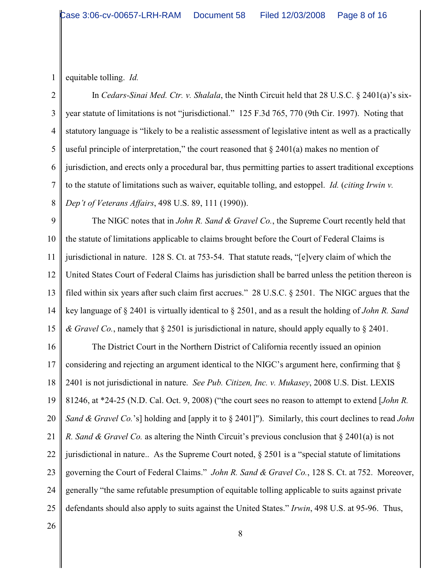1 equitable tolling. *Id.*

2 3 4 5 6 7 8 In *Cedars-Sinai Med. Ctr. v. Shalala*, the Ninth Circuit held that 28 U.S.C. § 2401(a)'s sixyear statute of limitations is not "jurisdictional." 125 F.3d 765, 770 (9th Cir. 1997). Noting that statutory language is "likely to be a realistic assessment of legislative intent as well as a practically useful principle of interpretation," the court reasoned that  $\S 2401(a)$  makes no mention of jurisdiction, and erects only a procedural bar, thus permitting parties to assert traditional exceptions to the statute of limitations such as waiver, equitable tolling, and estoppel. *Id.* (*citing Irwin v. Dep't of Veterans Affairs*, 498 U.S. 89, 111 (1990)).

9 10 11 12 13 14 15 The NIGC notes that in *John R. Sand & Gravel Co.*, the Supreme Court recently held that the statute of limitations applicable to claims brought before the Court of Federal Claims is jurisdictional in nature. 128 S. Ct. at 753-54. That statute reads, "[e]very claim of which the United States Court of Federal Claims has jurisdiction shall be barred unless the petition thereon is filed within six years after such claim first accrues." 28 U.S.C. § 2501. The NIGC argues that the key language of § 2401 is virtually identical to § 2501, and as a result the holding of *John R. Sand & Gravel Co.*, namely that § 2501 is jurisdictional in nature, should apply equally to § 2401.

16 17 18 19 20 21 22 23 24 25 The District Court in the Northern District of California recently issued an opinion considering and rejecting an argument identical to the NIGC's argument here, confirming that § 2401 is not jurisdictional in nature. *See Pub. Citizen, Inc. v. Mukasey*, 2008 U.S. Dist. LEXIS 81246, at \*24-25 (N.D. Cal. Oct. 9, 2008) ("the court sees no reason to attempt to extend [*John R. Sand & Gravel Co.*'s] holding and [apply it to § 2401]"). Similarly, this court declines to read *John R. Sand & Gravel Co.* as altering the Ninth Circuit's previous conclusion that § 2401(a) is not jurisdictional in nature.. As the Supreme Court noted, § 2501 is a "special statute of limitations governing the Court of Federal Claims." *John R. Sand & Gravel Co.*, 128 S. Ct. at 752. Moreover, generally "the same refutable presumption of equitable tolling applicable to suits against private defendants should also apply to suits against the United States." *Irwin*, 498 U.S. at 95-96. Thus,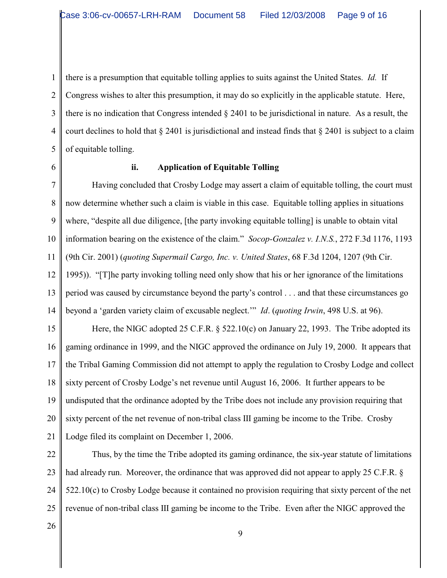1 2 3 4 5 there is a presumption that equitable tolling applies to suits against the United States. *Id.* If Congress wishes to alter this presumption, it may do so explicitly in the applicable statute. Here, there is no indication that Congress intended § 2401 to be jurisdictional in nature. As a result, the court declines to hold that  $\S 2401$  is jurisdictional and instead finds that  $\S 2401$  is subject to a claim of equitable tolling.

6

## **ii. Application of Equitable Tolling**

7 8 9 10 11 12 13 14 Having concluded that Crosby Lodge may assert a claim of equitable tolling, the court must now determine whether such a claim is viable in this case. Equitable tolling applies in situations where, "despite all due diligence, [the party invoking equitable tolling] is unable to obtain vital information bearing on the existence of the claim." *Socop-Gonzalez v. I.N.S.*, 272 F.3d 1176, 1193 (9th Cir. 2001) (*quoting Supermail Cargo, Inc. v. United States*, 68 F.3d 1204, 1207 (9th Cir. 1995)). "[T]he party invoking tolling need only show that his or her ignorance of the limitations period was caused by circumstance beyond the party's control . . . and that these circumstances go beyond a 'garden variety claim of excusable neglect.'" *Id*. (*quoting Irwin*, 498 U.S. at 96).

15 16 17 18 19 20 21 Here, the NIGC adopted 25 C.F.R. § 522.10(c) on January 22, 1993. The Tribe adopted its gaming ordinance in 1999, and the NIGC approved the ordinance on July 19, 2000. It appears that the Tribal Gaming Commission did not attempt to apply the regulation to Crosby Lodge and collect sixty percent of Crosby Lodge's net revenue until August 16, 2006. It further appears to be undisputed that the ordinance adopted by the Tribe does not include any provision requiring that sixty percent of the net revenue of non-tribal class III gaming be income to the Tribe. Crosby Lodge filed its complaint on December 1, 2006.

22 23 24 25 Thus, by the time the Tribe adopted its gaming ordinance, the six-year statute of limitations had already run. Moreover, the ordinance that was approved did not appear to apply 25 C.F.R. § 522.10(c) to Crosby Lodge because it contained no provision requiring that sixty percent of the net revenue of non-tribal class III gaming be income to the Tribe. Even after the NIGC approved the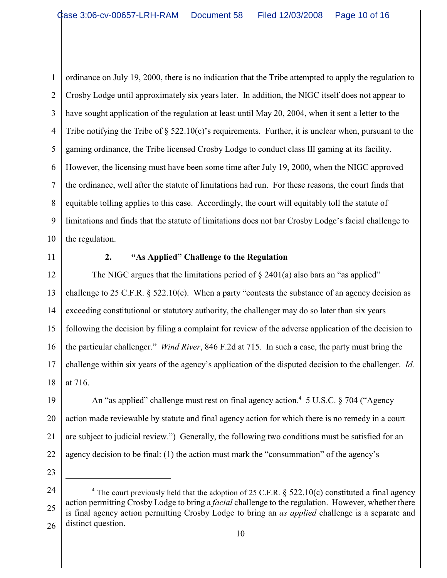1 2 3 4 5 6 7 8 9 10 ordinance on July 19, 2000, there is no indication that the Tribe attempted to apply the regulation to Crosby Lodge until approximately six years later. In addition, the NIGC itself does not appear to have sought application of the regulation at least until May 20, 2004, when it sent a letter to the Tribe notifying the Tribe of  $\S$  522.10(c)'s requirements. Further, it is unclear when, pursuant to the gaming ordinance, the Tribe licensed Crosby Lodge to conduct class III gaming at its facility. However, the licensing must have been some time after July 19, 2000, when the NIGC approved the ordinance, well after the statute of limitations had run. For these reasons, the court finds that equitable tolling applies to this case. Accordingly, the court will equitably toll the statute of limitations and finds that the statute of limitations does not bar Crosby Lodge's facial challenge to the regulation.

11

# **2. "As Applied" Challenge to the Regulation**

12 13 14 15 16 17 18 The NIGC argues that the limitations period of  $\S$  2401(a) also bars an "as applied" challenge to 25 C.F.R. § 522.10(c). When a party "contests the substance of an agency decision as exceeding constitutional or statutory authority, the challenger may do so later than six years following the decision by filing a complaint for review of the adverse application of the decision to the particular challenger." *Wind River*, 846 F.2d at 715. In such a case, the party must bring the challenge within six years of the agency's application of the disputed decision to the challenger. *Id.* at 716.

19 20 21 22 An "as applied" challenge must rest on final agency action.<sup>4</sup> 5 U.S.C. § 704 ("Agency action made reviewable by statute and final agency action for which there is no remedy in a court are subject to judicial review.") Generally, the following two conditions must be satisfied for an agency decision to be final: (1) the action must mark the "consummation" of the agency's

<sup>24</sup> 25 26 <sup>4</sup> The court previously held that the adoption of 25 C.F.R.  $\S$  522.10(c) constituted a final agency action permitting Crosby Lodge to bring a *facial* challenge to the regulation. However, whether there is final agency action permitting Crosby Lodge to bring an *as applied* challenge is a separate and distinct question.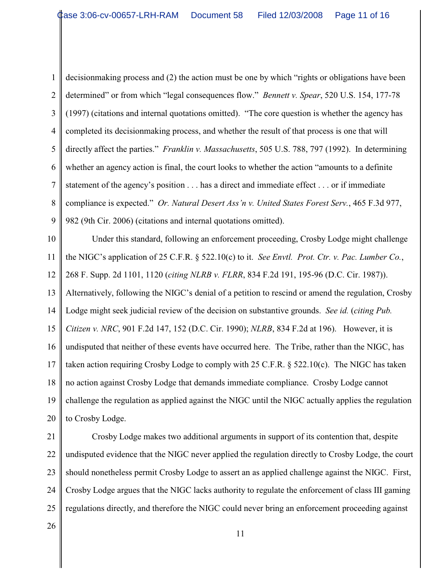1 2 3 4 5 6 7 8 9 decisionmaking process and (2) the action must be one by which "rights or obligations have been determined" or from which "legal consequences flow." *Bennett v. Spear*, 520 U.S. 154, 177-78 (1997) (citations and internal quotations omitted). "The core question is whether the agency has completed its decisionmaking process, and whether the result of that process is one that will directly affect the parties." *Franklin v. Massachusetts*, 505 U.S. 788, 797 (1992). In determining whether an agency action is final, the court looks to whether the action "amounts to a definite statement of the agency's position . . . has a direct and immediate effect . . . or if immediate compliance is expected." *Or. Natural Desert Ass'n v. United States Forest Serv.*, 465 F.3d 977, 982 (9th Cir. 2006) (citations and internal quotations omitted).

10 11 12 13 14 15 16 17 18 19 20 Under this standard, following an enforcement proceeding, Crosby Lodge might challenge the NIGC's application of 25 C.F.R. § 522.10(c) to it. *See Envtl. Prot. Ctr. v. Pac. Lumber Co.*, 268 F. Supp. 2d 1101, 1120 (*citing NLRB v. FLRR*, 834 F.2d 191, 195-96 (D.C. Cir. 1987)). Alternatively, following the NIGC's denial of a petition to rescind or amend the regulation, Crosby Lodge might seek judicial review of the decision on substantive grounds. *See id.* (*citing Pub. Citizen v. NRC*, 901 F.2d 147, 152 (D.C. Cir. 1990); *NLRB*, 834 F.2d at 196). However, it is undisputed that neither of these events have occurred here. The Tribe, rather than the NIGC, has taken action requiring Crosby Lodge to comply with 25 C.F.R.  $\S$  522.10(c). The NIGC has taken no action against Crosby Lodge that demands immediate compliance. Crosby Lodge cannot challenge the regulation as applied against the NIGC until the NIGC actually applies the regulation to Crosby Lodge.

21

22 23 24 25 Crosby Lodge makes two additional arguments in support of its contention that, despite undisputed evidence that the NIGC never applied the regulation directly to Crosby Lodge, the court should nonetheless permit Crosby Lodge to assert an as applied challenge against the NIGC. First, Crosby Lodge argues that the NIGC lacks authority to regulate the enforcement of class III gaming regulations directly, and therefore the NIGC could never bring an enforcement proceeding against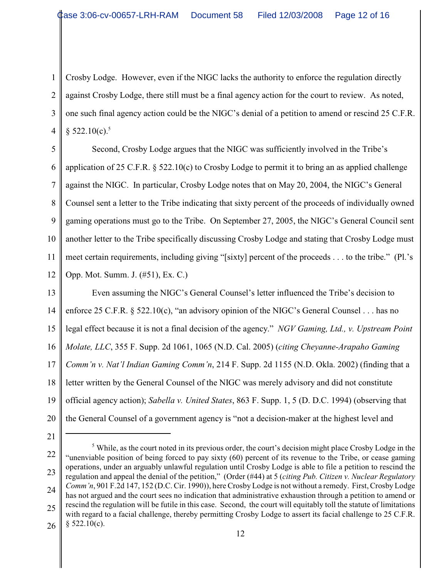1 2 3 4 Crosby Lodge. However, even if the NIGC lacks the authority to enforce the regulation directly against Crosby Lodge, there still must be a final agency action for the court to review. As noted, one such final agency action could be the NIGC's denial of a petition to amend or rescind 25 C.F.R.  $\S 522.10(c).$ <sup>5</sup>

5 6 7 8 9 10 11 12 Second, Crosby Lodge argues that the NIGC was sufficiently involved in the Tribe's application of 25 C.F.R.  $\S$  522.10(c) to Crosby Lodge to permit it to bring an as applied challenge against the NIGC. In particular, Crosby Lodge notes that on May 20, 2004, the NIGC's General Counsel sent a letter to the Tribe indicating that sixty percent of the proceeds of individually owned gaming operations must go to the Tribe. On September 27, 2005, the NIGC's General Council sent another letter to the Tribe specifically discussing Crosby Lodge and stating that Crosby Lodge must meet certain requirements, including giving "[sixty] percent of the proceeds . . . to the tribe." (Pl.'s Opp. Mot. Summ. J. (#51), Ex. C.)

13 14 15 16 17 18 19 20 Even assuming the NIGC's General Counsel's letter influenced the Tribe's decision to enforce 25 C.F.R. § 522.10(c), "an advisory opinion of the NIGC's General Counsel . . . has no legal effect because it is not a final decision of the agency." *NGV Gaming, Ltd., v. Upstream Point Molate, LLC*, 355 F. Supp. 2d 1061, 1065 (N.D. Cal. 2005) (*citing Cheyanne-Arapaho Gaming Comm'n v. Nat'l Indian Gaming Comm'n*, 214 F. Supp. 2d 1155 (N.D. Okla. 2002) (finding that a letter written by the General Counsel of the NIGC was merely advisory and did not constitute official agency action); *Sabella v. United States*, 863 F. Supp. 1, 5 (D. D.C. 1994) (observing that the General Counsel of a government agency is "not a decision-maker at the highest level and

<sup>22</sup> 23 24 25 26  $\delta$  While, as the court noted in its previous order, the court's decision might place Crosby Lodge in the "unenviable position of being forced to pay sixty (60) percent of its revenue to the Tribe, or cease gaming operations, under an arguably unlawful regulation until Crosby Lodge is able to file a petition to rescind the regulation and appeal the denial of the petition," (Order (#44) at 5 (*citing Pub. Citizen v. Nuclear Regulatory Comm'n*, 901 F.2d 147, 152 (D.C. Cir. 1990)), here Crosby Lodge is not without a remedy. First, Crosby Lodge has not argued and the court sees no indication that administrative exhaustion through a petition to amend or rescind the regulation will be futile in this case. Second, the court will equitably toll the statute of limitations with regard to a facial challenge, thereby permitting Crosby Lodge to assert its facial challenge to 25 C.F.R.  $§$  522.10(c).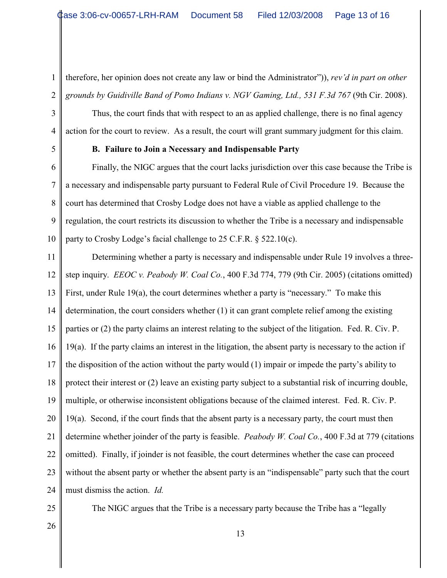2 therefore, her opinion does not create any law or bind the Administrator")), *rev'd in part on other* grounds by Guidiville Band of Pomo Indians v. NGV Gaming, Ltd., 531 F.3d 767 (9th Cir. 2008).

Thus, the court finds that with respect to an as applied challenge, there is no final agency action for the court to review. As a result, the court will grant summary judgment for this claim.

5

1

3

4

### **B. Failure to Join a Necessary and Indispensable Party**

6 7 8 9 10 Finally, the NIGC argues that the court lacks jurisdiction over this case because the Tribe is a necessary and indispensable party pursuant to Federal Rule of Civil Procedure 19. Because the court has determined that Crosby Lodge does not have a viable as applied challenge to the regulation, the court restricts its discussion to whether the Tribe is a necessary and indispensable party to Crosby Lodge's facial challenge to 25 C.F.R. § 522.10(c).

11 12 13 14 15 16 17 18 19 20 21 22 23 24 Determining whether a party is necessary and indispensable under Rule 19 involves a threestep inquiry. *EEOC v. Peabody W. Coal Co.*, 400 F.3d 774, 779 (9th Cir. 2005) (citations omitted) First, under Rule 19(a), the court determines whether a party is "necessary." To make this determination, the court considers whether (1) it can grant complete relief among the existing parties or (2) the party claims an interest relating to the subject of the litigation. Fed. R. Civ. P. 19(a). If the party claims an interest in the litigation, the absent party is necessary to the action if the disposition of the action without the party would (1) impair or impede the party's ability to protect their interest or (2) leave an existing party subject to a substantial risk of incurring double, multiple, or otherwise inconsistent obligations because of the claimed interest. Fed. R. Civ. P.  $19(a)$ . Second, if the court finds that the absent party is a necessary party, the court must then determine whether joinder of the party is feasible. *Peabody W. Coal Co.*, 400 F.3d at 779 (citations omitted). Finally, if joinder is not feasible, the court determines whether the case can proceed without the absent party or whether the absent party is an "indispensable" party such that the court must dismiss the action. *Id.* 

25

The NIGC argues that the Tribe is a necessary party because the Tribe has a "legally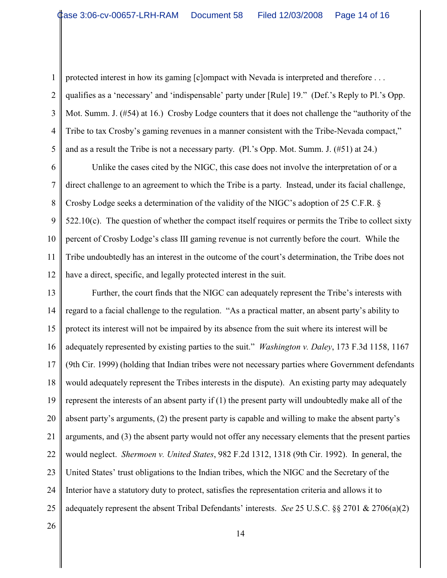1 2

3

4

5

protected interest in how its gaming [c]ompact with Nevada is interpreted and therefore . . . qualifies as a 'necessary' and 'indispensable' party under [Rule] 19." (Def.'s Reply to Pl.'s Opp. Mot. Summ. J. (#54) at 16.) Crosby Lodge counters that it does not challenge the "authority of the Tribe to tax Crosby's gaming revenues in a manner consistent with the Tribe-Nevada compact," and as a result the Tribe is not a necessary party. (Pl.'s Opp. Mot. Summ. J. (#51) at 24.)

6 7 8 9 10 11 12 Unlike the cases cited by the NIGC, this case does not involve the interpretation of or a direct challenge to an agreement to which the Tribe is a party. Instead, under its facial challenge, Crosby Lodge seeks a determination of the validity of the NIGC's adoption of 25 C.F.R. §  $522.10(c)$ . The question of whether the compact itself requires or permits the Tribe to collect sixty percent of Crosby Lodge's class III gaming revenue is not currently before the court. While the Tribe undoubtedly has an interest in the outcome of the court's determination, the Tribe does not have a direct, specific, and legally protected interest in the suit.

13 14 15 16 17 18 19 20 21 22 23 24 25 Further, the court finds that the NIGC can adequately represent the Tribe's interests with regard to a facial challenge to the regulation. "As a practical matter, an absent party's ability to protect its interest will not be impaired by its absence from the suit where its interest will be adequately represented by existing parties to the suit." *Washington v. Daley*, 173 F.3d 1158, 1167 (9th Cir. 1999) (holding that Indian tribes were not necessary parties where Government defendants would adequately represent the Tribes interests in the dispute). An existing party may adequately represent the interests of an absent party if (1) the present party will undoubtedly make all of the absent party's arguments, (2) the present party is capable and willing to make the absent party's arguments, and (3) the absent party would not offer any necessary elements that the present parties would neglect. *Shermoen v. United States*, 982 F.2d 1312, 1318 (9th Cir. 1992). In general, the United States' trust obligations to the Indian tribes, which the NIGC and the Secretary of the Interior have a statutory duty to protect, satisfies the representation criteria and allows it to adequately represent the absent Tribal Defendants' interests. *See* 25 U.S.C. §§ 2701 & 2706(a)(2)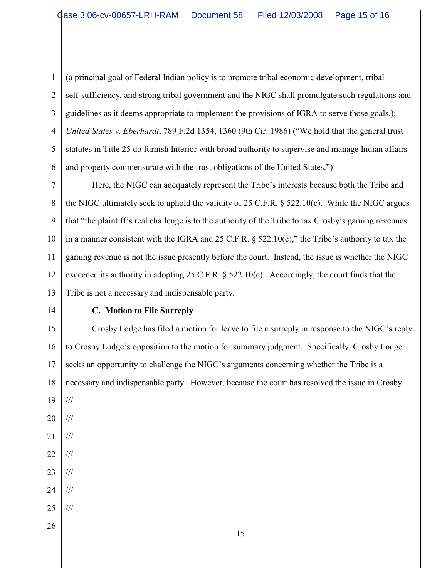1 2 3 4 5 6 (a principal goal of Federal Indian policy is to promote tribal economic development, tribal self-sufficiency, and strong tribal government and the NIGC shall promulgate such regulations and guidelines as it deems appropriate to implement the provisions of IGRA to serve those goals.); *United States v. Eberhardt*, 789 F.2d 1354, 1360 (9th Cir. 1986) ("We hold that the general trust statutes in Title 25 do furnish Interior with broad authority to supervise and manage Indian affairs and property commensurate with the trust obligations of the United States.")

7 8 9 10 11 12 13 Here, the NIGC can adequately represent the Tribe's interests because both the Tribe and the NIGC ultimately seek to uphold the validity of 25 C.F.R. § 522.10(c). While the NIGC argues that "the plaintiff's real challenge is to the authority of the Tribe to tax Crosby's gaming revenues in a manner consistent with the IGRA and 25 C.F.R.  $\S$  522.10(c)," the Tribe's authority to tax the gaming revenue is not the issue presently before the court. Instead, the issue is whether the NIGC exceeded its authority in adopting 25 C.F.R.  $\S$  522.10(c). Accordingly, the court finds that the Tribe is not a necessary and indispensable party.

14

# **C. Motion to File Surreply**

15 16 17 18 19 20 21 22 Crosby Lodge has filed a motion for leave to file a surreply in response to the NIGC's reply to Crosby Lodge's opposition to the motion for summary judgment. Specifically, Crosby Lodge seeks an opportunity to challenge the NIGC's arguments concerning whether the Tribe is a necessary and indispensable party. However, because the court has resolved the issue in Crosby /// /// /// ///

- 23 ///
- 24 ///

///